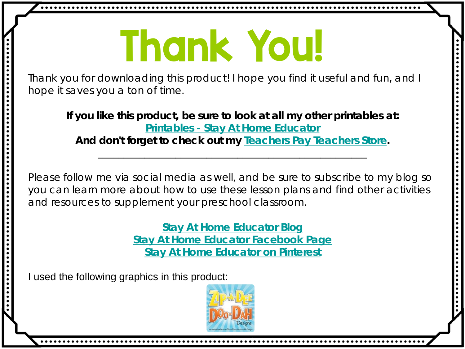## Thank You!

Thank you for downloading this product! I hope you find it useful and fun, and I hope it saves you a ton of time.

**If you like this product, be sure to look at all my other printables at: Printables - [Stay At Home Educator](http://stayathomeeducator.com/shop-preschool-printables-resources/) And don't forget to check out my [Teachers Pay Teachers Store.](https://www.teacherspayteachers.com/Store/Stay-At-Home-Educator)** \_\_\_\_\_\_\_\_\_\_\_\_\_\_\_\_\_\_\_\_\_\_\_\_\_\_\_\_\_\_\_\_\_\_\_\_\_\_\_\_\_\_\_\_\_\_\_\_\_\_\_\_

Please follow me via social media as well, and be sure to subscribe to my blog so you can learn more about how to use these lesson plans and find other activities and resources to supplement your preschool classroom.

> **[Stay At Home Educator Blog](http://stayathomeeducator.com/shop-preschool-printables-resources/) [Stay At Home Educator Facebook Page](https://www.facebook.com/stayathomeeducator/?ref=hl) [Stay At Home Educator on Pinterest](https://www.pinterest.com/spunkoney/)**

I used the following graphics in this product:

..........

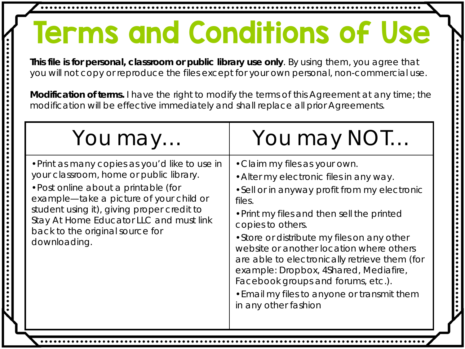## Terms and Conditions of Use

**This file is for personal, classroom or public library use only**. By using them, you agree that you will not copy or reproduce the files except for your own personal, non-commercial use. .............

**Modification of terms.** I have the right to modify the terms of this Agreement at any time; the modification will be effective immediately and shall replace all prior Agreements.

| You may                                                                                                                                                                                                                                                                                                                  | You may NOT                                                                                                                                                                                                                                                                                                                                                                                                                                                                                              |
|--------------------------------------------------------------------------------------------------------------------------------------------------------------------------------------------------------------------------------------------------------------------------------------------------------------------------|----------------------------------------------------------------------------------------------------------------------------------------------------------------------------------------------------------------------------------------------------------------------------------------------------------------------------------------------------------------------------------------------------------------------------------------------------------------------------------------------------------|
| • Print as many copies as you'd like to use in<br>your classroom, home or public library.<br>• Post online about a printable (for<br>example—take a picture of your child or<br>student using it), giving proper credit to<br>Stay At Home Educator LLC and must link<br>back to the original source for<br>downloading. | • Claim my files as your own.<br>• Alter my electronic files in any way.<br>• Sell or in anyway profit from my electronic<br>files.<br>• Print my files and then sell the printed<br>copies to others.<br>• Store or distribute my files on any other<br>website or another location where others<br>are able to electronically retrieve them (for<br>example: Dropbox, 4Shared, Mediafire,<br>Facebook groups and forums, etc.).<br>• Email my files to anyone or transmit them<br>in any other fashion |